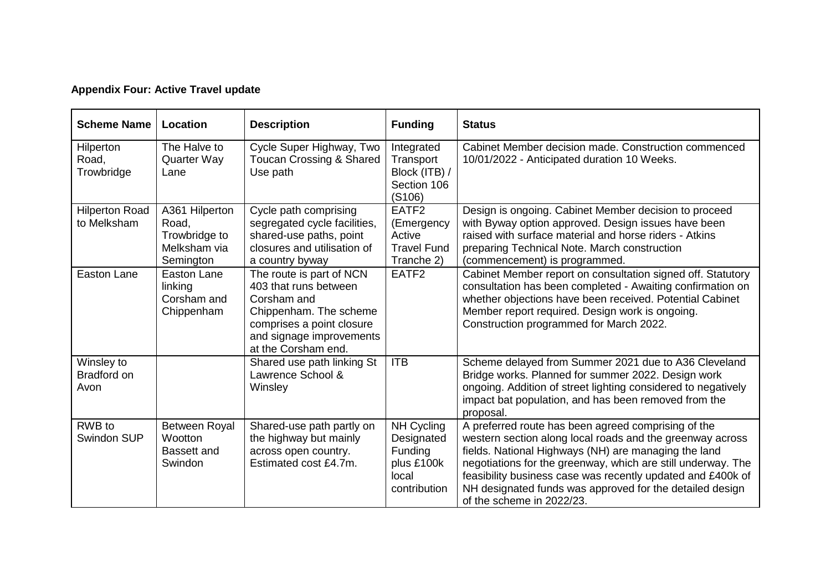## **Appendix Four: Active Travel update**

| <b>Scheme Name</b>                       | Location                                                              | <b>Description</b>                                                                                                                                                         | <b>Funding</b>                                                                | <b>Status</b>                                                                                                                                                                                                                                                                                                                                                                                    |
|------------------------------------------|-----------------------------------------------------------------------|----------------------------------------------------------------------------------------------------------------------------------------------------------------------------|-------------------------------------------------------------------------------|--------------------------------------------------------------------------------------------------------------------------------------------------------------------------------------------------------------------------------------------------------------------------------------------------------------------------------------------------------------------------------------------------|
| Hilperton<br>Road,<br>Trowbridge         | The Halve to<br><b>Quarter Way</b><br>Lane                            | Cycle Super Highway, Two<br>Toucan Crossing & Shared<br>Use path                                                                                                           | Integrated<br>Transport<br>Block (ITB) /<br>Section 106<br>(S106)             | Cabinet Member decision made. Construction commenced<br>10/01/2022 - Anticipated duration 10 Weeks.                                                                                                                                                                                                                                                                                              |
| <b>Hilperton Road</b><br>to Melksham     | A361 Hilperton<br>Road,<br>Trowbridge to<br>Melksham via<br>Semington | Cycle path comprising<br>segregated cycle facilities,<br>shared-use paths, point<br>closures and utilisation of<br>a country byway                                         | EATF <sub>2</sub><br>(Emergency<br>Active<br><b>Travel Fund</b><br>Tranche 2) | Design is ongoing. Cabinet Member decision to proceed<br>with Byway option approved. Design issues have been<br>raised with surface material and horse riders - Atkins<br>preparing Technical Note. March construction<br>(commencement) is programmed.                                                                                                                                          |
| Easton Lane                              | Easton Lane<br>linking<br>Corsham and<br>Chippenham                   | The route is part of NCN<br>403 that runs between<br>Corsham and<br>Chippenham. The scheme<br>comprises a point closure<br>and signage improvements<br>at the Corsham end. | EATF <sub>2</sub>                                                             | Cabinet Member report on consultation signed off. Statutory<br>consultation has been completed - Awaiting confirmation on<br>whether objections have been received. Potential Cabinet<br>Member report required. Design work is ongoing.<br>Construction programmed for March 2022.                                                                                                              |
| Winsley to<br><b>Bradford on</b><br>Avon |                                                                       | Shared use path linking St<br>Lawrence School &<br>Winsley                                                                                                                 | <b>ITB</b>                                                                    | Scheme delayed from Summer 2021 due to A36 Cleveland<br>Bridge works. Planned for summer 2022. Design work<br>ongoing. Addition of street lighting considered to negatively<br>impact bat population, and has been removed from the<br>proposal.                                                                                                                                                 |
| RWB to<br>Swindon SUP                    | Between Royal<br>Wootton<br><b>Bassett and</b><br>Swindon             | Shared-use path partly on<br>the highway but mainly<br>across open country.<br>Estimated cost £4.7m.                                                                       | NH Cycling<br>Designated<br>Funding<br>plus £100k<br>local<br>contribution    | A preferred route has been agreed comprising of the<br>western section along local roads and the greenway across<br>fields. National Highways (NH) are managing the land<br>negotiations for the greenway, which are still underway. The<br>feasibility business case was recently updated and £400k of<br>NH designated funds was approved for the detailed design<br>of the scheme in 2022/23. |